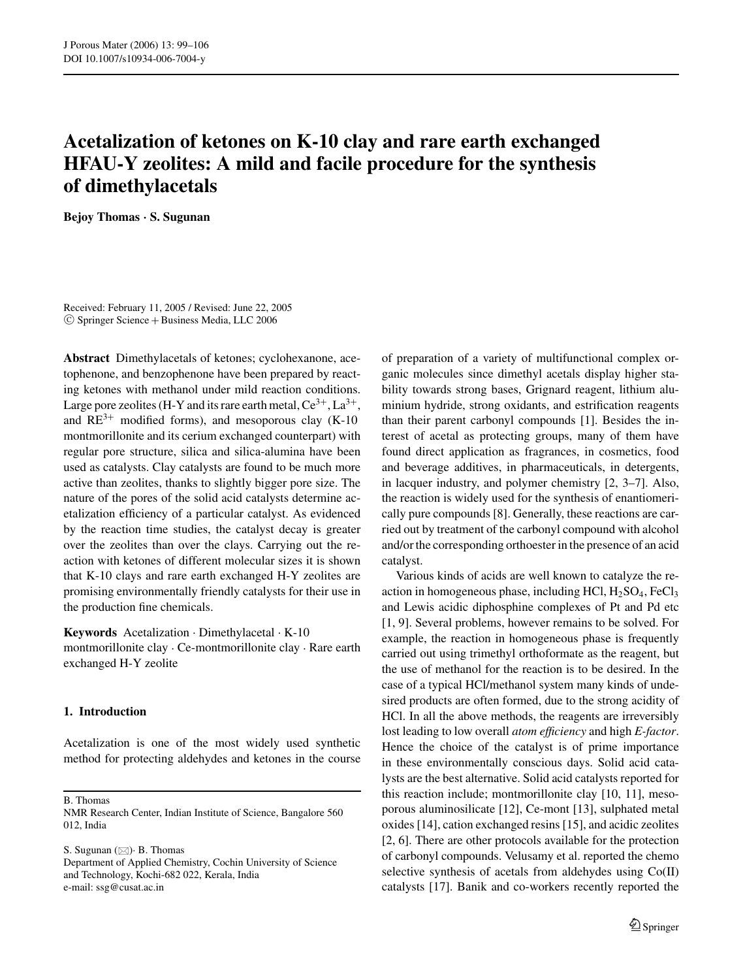# **Acetalization of ketones on K-10 clay and rare earth exchanged HFAU-Y zeolites: A mild and facile procedure for the synthesis of dimethylacetals**

**Bejoy Thomas** *·* **S. Sugunan**

Received: February 11, 2005 / Revised: June 22, 2005  $©$  Springer Science + Business Media, LLC 2006

**Abstract** Dimethylacetals of ketones; cyclohexanone, acetophenone, and benzophenone have been prepared by reacting ketones with methanol under mild reaction conditions. Large pore zeolites (H-Y and its rare earth metal,  $Ce^{3+}$ ,  $La^{3+}$ , and  $RE^{3+}$  modified forms), and mesoporous clay (K-10) montmorillonite and its cerium exchanged counterpart) with regular pore structure, silica and silica-alumina have been used as catalysts. Clay catalysts are found to be much more active than zeolites, thanks to slightly bigger pore size. The nature of the pores of the solid acid catalysts determine acetalization efficiency of a particular catalyst. As evidenced by the reaction time studies, the catalyst decay is greater over the zeolites than over the clays. Carrying out the reaction with ketones of different molecular sizes it is shown that K-10 clays and rare earth exchanged H-Y zeolites are promising environmentally friendly catalysts for their use in the production fine chemicals.

**Keywords** Acetalization . Dimethylacetal . K-10

montmorillonite clay . Ce-montmorillonite clay . Rare earth exchanged H-Y zeolite

## **1. Introduction**

Acetalization is one of the most widely used synthetic method for protecting aldehydes and ketones in the course

B. Thomas

S. Sugunan  $(\boxtimes)$  B. Thomas

of preparation of a variety of multifunctional complex organic molecules since dimethyl acetals display higher stability towards strong bases, Grignard reagent, lithium aluminium hydride, strong oxidants, and estrification reagents than their parent carbonyl compounds [1]. Besides the interest of acetal as protecting groups, many of them have found direct application as fragrances, in cosmetics, food and beverage additives, in pharmaceuticals, in detergents, in lacquer industry, and polymer chemistry [2, 3–7]. Also, the reaction is widely used for the synthesis of enantiomerically pure compounds [8]. Generally, these reactions are carried out by treatment of the carbonyl compound with alcohol and/or the corresponding orthoester in the presence of an acid catalyst.

Various kinds of acids are well known to catalyze the reaction in homogeneous phase, including HCl,  $H<sub>2</sub>SO<sub>4</sub>$ , FeCl<sub>3</sub> and Lewis acidic diphosphine complexes of Pt and Pd etc [1, 9]. Several problems, however remains to be solved. For example, the reaction in homogeneous phase is frequently carried out using trimethyl orthoformate as the reagent, but the use of methanol for the reaction is to be desired. In the case of a typical HCl/methanol system many kinds of undesired products are often formed, due to the strong acidity of HCl. In all the above methods, the reagents are irreversibly lost leading to low overall *atom efficiency* and high *E-factor*. Hence the choice of the catalyst is of prime importance in these environmentally conscious days. Solid acid catalysts are the best alternative. Solid acid catalysts reported for this reaction include; montmorillonite clay [10, 11], mesoporous aluminosilicate [12], Ce-mont [13], sulphated metal oxides [14], cation exchanged resins [15], and acidic zeolites [2, 6]. There are other protocols available for the protection of carbonyl compounds. Velusamy et al. reported the chemo selective synthesis of acetals from aldehydes using Co(II) catalysts [17]. Banik and co-workers recently reported the

NMR Research Center, Indian Institute of Science, Bangalore 560 012, India

Department of Applied Chemistry, Cochin University of Science and Technology, Kochi-682 022, Kerala, India e-mail: ssg@cusat.ac.in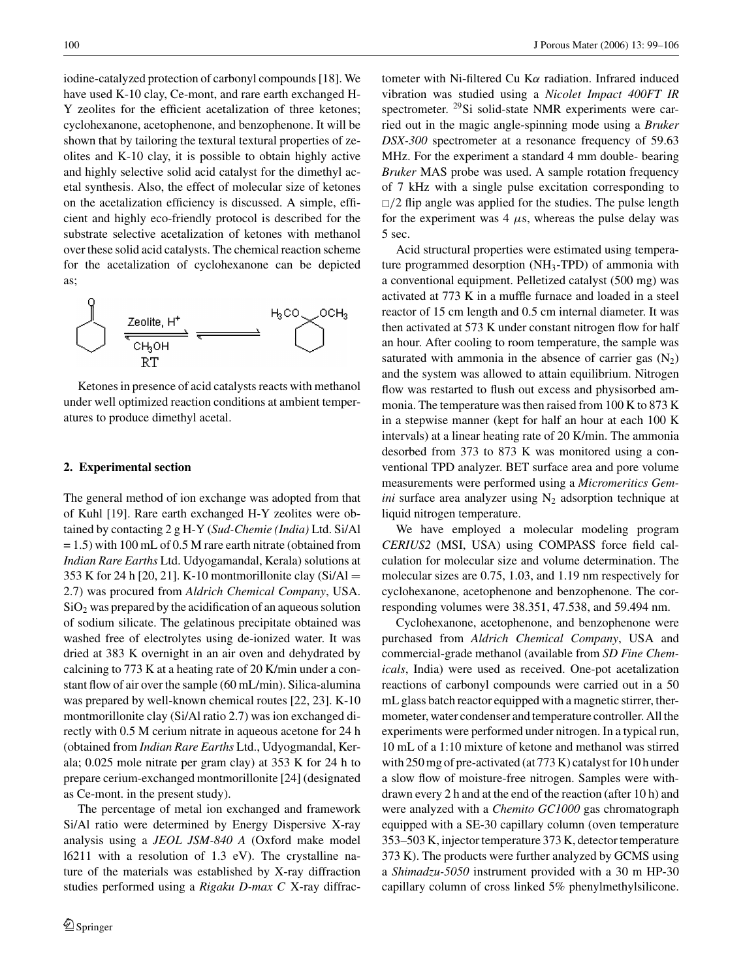iodine-catalyzed protection of carbonyl compounds [18]. We have used K-10 clay, Ce-mont, and rare earth exchanged H-Y zeolites for the efficient acetalization of three ketones; cyclohexanone, acetophenone, and benzophenone. It will be shown that by tailoring the textural textural properties of zeolites and K-10 clay, it is possible to obtain highly active and highly selective solid acid catalyst for the dimethyl acetal synthesis. Also, the effect of molecular size of ketones on the acetalization efficiency is discussed. A simple, efficient and highly eco-friendly protocol is described for the substrate selective acetalization of ketones with methanol over these solid acid catalysts. The chemical reaction scheme for the acetalization of cyclohexanone can be depicted as;



Ketones in presence of acid catalysts reacts with methanol under well optimized reaction conditions at ambient temperatures to produce dimethyl acetal.

#### **2. Experimental section**

The general method of ion exchange was adopted from that of Kuhl [19]. Rare earth exchanged H-Y zeolites were obtained by contacting 2 g H-Y (*Sud-Chemie (India)* Ltd. Si/Al = 1.5) with 100 mL of 0.5 M rare earth nitrate (obtained from *Indian Rare Earths* Ltd. Udyogamandal, Kerala) solutions at 353 K for 24 h [20, 21]. K-10 montmorillonite clay  $(Si/A)$  = 2.7) was procured from *Aldrich Chemical Company*, USA.  $SiO<sub>2</sub>$  was prepared by the acidification of an aqueous solution of sodium silicate. The gelatinous precipitate obtained was washed free of electrolytes using de-ionized water. It was dried at 383 K overnight in an air oven and dehydrated by calcining to 773 K at a heating rate of 20 K/min under a constant flow of air over the sample (60 mL/min). Silica-alumina was prepared by well-known chemical routes [22, 23]. K-10 montmorillonite clay (Si/Al ratio 2.7) was ion exchanged directly with 0.5 M cerium nitrate in aqueous acetone for 24 h (obtained from *Indian Rare Earths* Ltd., Udyogmandal, Kerala; 0.025 mole nitrate per gram clay) at 353 K for 24 h to prepare cerium-exchanged montmorillonite [24] (designated as Ce-mont. in the present study).

The percentage of metal ion exchanged and framework Si/Al ratio were determined by Energy Dispersive X-ray analysis using a *JEOL JSM-840 A* (Oxford make model l6211 with a resolution of 1.3 eV). The crystalline nature of the materials was established by X-ray diffraction studies performed using a *Rigaku D-max C* X-ray diffractometer with Ni-filtered Cu K $\alpha$  radiation. Infrared induced vibration was studied using a *Nicolet Impact 400FT IR* spectrometer. 29Si solid-state NMR experiments were carried out in the magic angle-spinning mode using a *Bruker DSX-300* spectrometer at a resonance frequency of 59.63 MHz. For the experiment a standard 4 mm double- bearing *Bruker* MAS probe was used. A sample rotation frequency of 7 kHz with a single pulse excitation corresponding to  $\Box/2$  flip angle was applied for the studies. The pulse length for the experiment was  $4 \mu s$ , whereas the pulse delay was 5 sec.

Acid structural properties were estimated using temperature programmed desorption (NH3-TPD) of ammonia with a conventional equipment. Pelletized catalyst (500 mg) was activated at 773 K in a muffle furnace and loaded in a steel reactor of 15 cm length and 0.5 cm internal diameter. It was then activated at 573 K under constant nitrogen flow for half an hour. After cooling to room temperature, the sample was saturated with ammonia in the absence of carrier gas  $(N_2)$ and the system was allowed to attain equilibrium. Nitrogen flow was restarted to flush out excess and physisorbed ammonia. The temperature was then raised from 100 K to 873 K in a stepwise manner (kept for half an hour at each 100 K intervals) at a linear heating rate of 20 K/min. The ammonia desorbed from 373 to 873 K was monitored using a conventional TPD analyzer. BET surface area and pore volume measurements were performed using a *Micromeritics Gemini* surface area analyzer using  $N_2$  adsorption technique at liquid nitrogen temperature.

We have employed a molecular modeling program *CERIUS2* (MSI, USA) using COMPASS force field calculation for molecular size and volume determination. The molecular sizes are 0.75, 1.03, and 1.19 nm respectively for cyclohexanone, acetophenone and benzophenone. The corresponding volumes were 38.351, 47.538, and 59.494 nm.

Cyclohexanone, acetophenone, and benzophenone were purchased from *Aldrich Chemical Company*, USA and commercial-grade methanol (available from *SD Fine Chemicals*, India) were used as received. One-pot acetalization reactions of carbonyl compounds were carried out in a 50 mL glass batch reactor equipped with a magnetic stirrer, thermometer, water condenser and temperature controller. All the experiments were performed under nitrogen. In a typical run, 10 mL of a 1:10 mixture of ketone and methanol was stirred with 250 mg of pre-activated (at 773 K) catalyst for 10 h under a slow flow of moisture-free nitrogen. Samples were withdrawn every 2 h and at the end of the reaction (after 10 h) and were analyzed with a *Chemito GC1000* gas chromatograph equipped with a SE-30 capillary column (oven temperature 353–503 K, injector temperature 373 K, detector temperature 373 K). The products were further analyzed by GCMS using a *Shimadzu-5050* instrument provided with a 30 m HP-30 capillary column of cross linked 5% phenylmethylsilicone.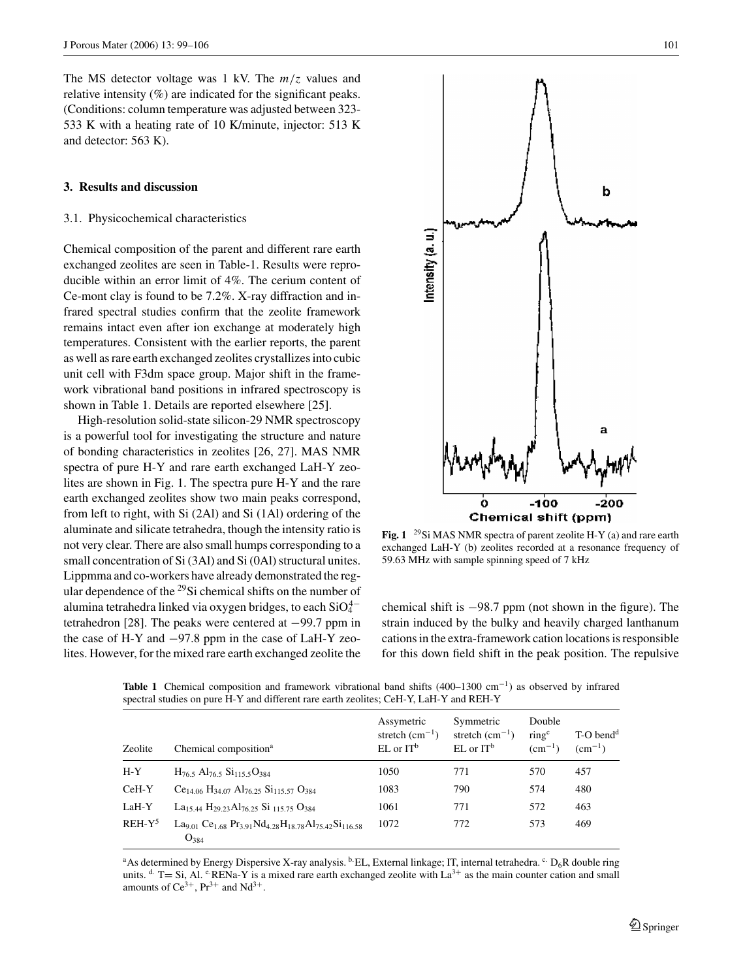The MS detector voltage was 1 kV. The *m*/*z* values and relative intensity (%) are indicated for the significant peaks. (Conditions: column temperature was adjusted between 323- 533 K with a heating rate of 10 K/minute, injector: 513 K and detector: 563 K).

## **3. Results and discussion**

#### 3.1. Physicochemical characteristics

Chemical composition of the parent and different rare earth exchanged zeolites are seen in Table-1. Results were reproducible within an error limit of 4%. The cerium content of Ce-mont clay is found to be 7.2%. X-ray diffraction and infrared spectral studies confirm that the zeolite framework remains intact even after ion exchange at moderately high temperatures. Consistent with the earlier reports, the parent as well as rare earth exchanged zeolites crystallizes into cubic unit cell with F3dm space group. Major shift in the framework vibrational band positions in infrared spectroscopy is shown in Table 1. Details are reported elsewhere [25].

High-resolution solid-state silicon-29 NMR spectroscopy is a powerful tool for investigating the structure and nature of bonding characteristics in zeolites [26, 27]. MAS NMR spectra of pure H-Y and rare earth exchanged LaH-Y zeolites are shown in Fig. 1. The spectra pure H-Y and the rare earth exchanged zeolites show two main peaks correspond, from left to right, with Si (2Al) and Si (1Al) ordering of the aluminate and silicate tetrahedra, though the intensity ratio is not very clear. There are also small humps corresponding to a small concentration of Si (3Al) and Si (0Al) structural unites. Lippmma and co-workers have already demonstrated the regular dependence of the  $^{29}$ Si chemical shifts on the number of alumina tetrahedra linked via oxygen bridges, to each  $\mathrm{SiO_4^{4-}}$ tetrahedron [28]. The peaks were centered at −99.7 ppm in the case of H-Y and −97.8 ppm in the case of LaH-Y zeolites. However, for the mixed rare earth exchanged zeolite the



**Fig. 1** 29Si MAS NMR spectra of parent zeolite H-Y (a) and rare earth exchanged LaH-Y (b) zeolites recorded at a resonance frequency of 59.63 MHz with sample spinning speed of 7 kHz

chemical shift is −98.7 ppm (not shown in the figure). The strain induced by the bulky and heavily charged lanthanum cations in the extra-framework cation locations is responsible for this down field shift in the peak position. The repulsive

| Zeolite   | Chemical composition <sup>a</sup>                                                                                                                    | Assymetric<br>stretch $(cm^{-1})$<br>$EL$ or $IT^b$ | Symmetric<br>stretch $(cm^{-1})$<br>$EL$ or $IT^b$ | Double<br>$\text{ring}^{\text{c}}$<br>$\rm (cm^{-1})$ | $T-O$ bend <sup>d</sup><br>$(cm^{-1})$ |
|-----------|------------------------------------------------------------------------------------------------------------------------------------------------------|-----------------------------------------------------|----------------------------------------------------|-------------------------------------------------------|----------------------------------------|
| $H - Y$   | $H_{76.5}$ Al <sub>76.5</sub> Si <sub>115.5</sub> O <sub>384</sub>                                                                                   | 1050                                                | 771                                                | 570                                                   | 457                                    |
| $CeH-Y$   | $Ce_{14.06}$ H <sub>34.07</sub> Al <sub>76.25</sub> Si <sub>115.57</sub> O <sub>384</sub>                                                            | 1083                                                | 790                                                | 574                                                   | 480                                    |
| LaH-Y     | La <sub>15,44</sub> H <sub>29,23</sub> Al <sub>76,25</sub> Si <sub>115,75</sub> O <sub>384</sub>                                                     | 1061                                                | 771                                                | 572                                                   | 463                                    |
| $REH-Y^5$ | La <sub>9.01</sub> Ce <sub>1.68</sub> Pr <sub>3.91</sub> Nd <sub>4.28</sub> H <sub>18.78</sub> Al <sub>75.42</sub> Si <sub>116.58</sub><br>$O_{384}$ | 1072                                                | 772                                                | 573                                                   | 469                                    |

**Table 1** Chemical composition and framework vibrational band shifts (400–1300 cm<sup>−</sup>1) as observed by infrared spectral studies on pure H-Y and different rare earth zeolites; CeH-Y, LaH-Y and REH-Y

<sup>a</sup>As determined by Energy Dispersive X-ray analysis. <sup>b.</sup>EL, External linkage; IT, internal tetrahedra. <sup>c.</sup> D<sub>6</sub>R double ring units.  $d$  T = Si, Al.  $e$ -RENa-Y is a mixed rare earth exchanged zeolite with La<sup>3+</sup> as the main counter cation and small amounts of  $Ce^{3+}$ ,  $Pr^{3+}$  and  $Nd^{3+}$ .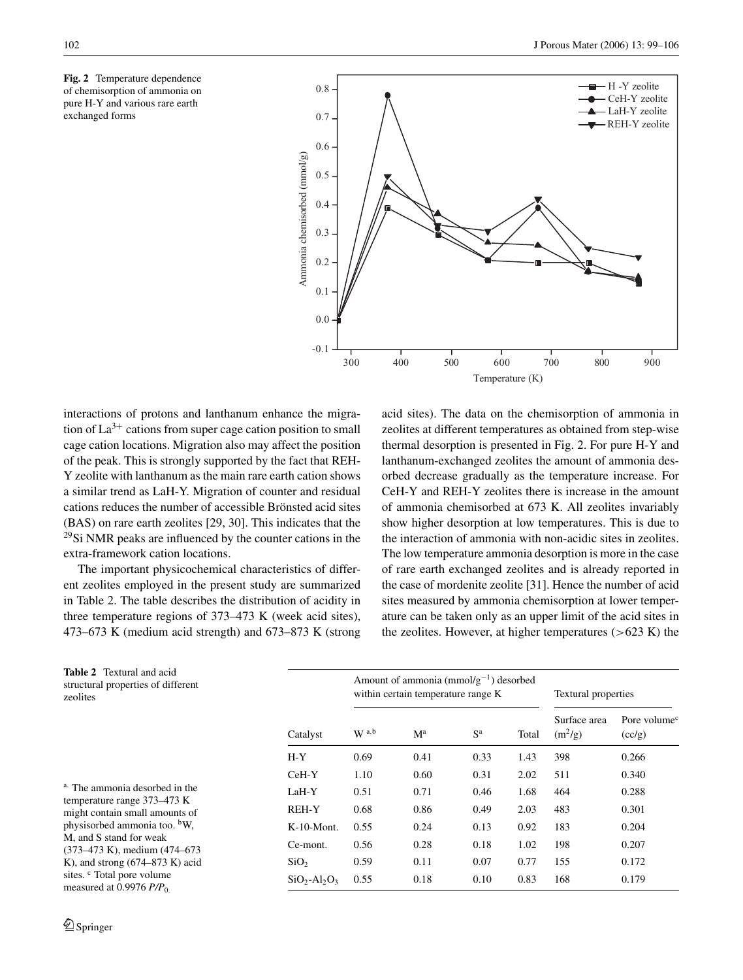**Fig. 2** Temperature dependence of chemisorption of ammonia on pure H-Y and various rare earth exchanged forms



interactions of protons and lanthanum enhance the migration of  $La^{3+}$  cations from super cage cation position to small cage cation locations. Migration also may affect the position of the peak. This is strongly supported by the fact that REH-Y zeolite with lanthanum as the main rare earth cation shows a similar trend as LaH-Y. Migration of counter and residual cations reduces the number of accessible Brönsted acid sites (BAS) on rare earth zeolites [29, 30]. This indicates that the 29Si NMR peaks are influenced by the counter cations in the extra-framework cation locations.

The important physicochemical characteristics of different zeolites employed in the present study are summarized in Table 2. The table describes the distribution of acidity in three temperature regions of 373–473 K (week acid sites), 473–673 K (medium acid strength) and 673–873 K (strong acid sites). The data on the chemisorption of ammonia in zeolites at different temperatures as obtained from step-wise thermal desorption is presented in Fig. 2. For pure H-Y and lanthanum-exchanged zeolites the amount of ammonia desorbed decrease gradually as the temperature increase. For CeH-Y and REH-Y zeolites there is increase in the amount of ammonia chemisorbed at 673 K. All zeolites invariably show higher desorption at low temperatures. This is due to the interaction of ammonia with non-acidic sites in zeolites. The low temperature ammonia desorption is more in the case of rare earth exchanged zeolites and is already reported in the case of mordenite zeolite [31]. Hence the number of acid sites measured by ammonia chemisorption at lower temperature can be taken only as an upper limit of the acid sites in the zeolites. However, at higher temperatures  $(>623 \text{ K})$  the

| <b>Table 2</b> Textural and acid<br>structural properties of different<br>zeolites |                  | Amount of ammonia ( $mmol/g^{-1}$ ) desorbed<br>within certain temperature range K |                           |                |       | Textural properties       |                                    |
|------------------------------------------------------------------------------------|------------------|------------------------------------------------------------------------------------|---------------------------|----------------|-------|---------------------------|------------------------------------|
|                                                                                    | Catalyst         | W <sup>a,b</sup>                                                                   | $\mathbf{M}^{\mathrm{a}}$ | S <sup>a</sup> | Total | Surface area<br>$(m^2/g)$ | Pore volume <sup>c</sup><br>(cc/g) |
|                                                                                    | $H - Y$          | 0.69                                                                               | 0.41                      | 0.33           | 1.43  | 398                       | 0.266                              |
|                                                                                    | $CeH-Y$          | 1.10                                                                               | 0.60                      | 0.31           | 2.02  | 511                       | 0.340                              |
| <sup>a.</sup> The ammonia desorbed in the                                          | LaH-Y            | 0.51                                                                               | 0.71                      | 0.46           | 1.68  | 464                       | 0.288                              |
| temperature range 373–473 K<br>might contain small amounts of                      | <b>REH-Y</b>     | 0.68                                                                               | 0.86                      | 0.49           | 2.03  | 483                       | 0.301                              |
| physisorbed ammonia too. <sup>b</sup> W,                                           | $K-10-Mont.$     | 0.55                                                                               | 0.24                      | 0.13           | 0.92  | 183                       | 0.204                              |
| M, and S stand for weak<br>$(373-473 \text{ K})$ , medium $(474-673 \text{ K})$    | Ce-mont.         | 0.56                                                                               | 0.28                      | 0.18           | 1.02  | 198                       | 0.207                              |
| K), and strong $(674-873)$ K) acid                                                 | SiO <sub>2</sub> | 0.59                                                                               | 0.11                      | 0.07           | 0.77  | 155                       | 0.172                              |
| sites. <sup>c</sup> Total pore volume<br>measured at 0.9976 $P/P0$                 | $SiO2-Al2O3$     | 0.55                                                                               | 0.18                      | 0.10           | 0.83  | 168                       | 0.179                              |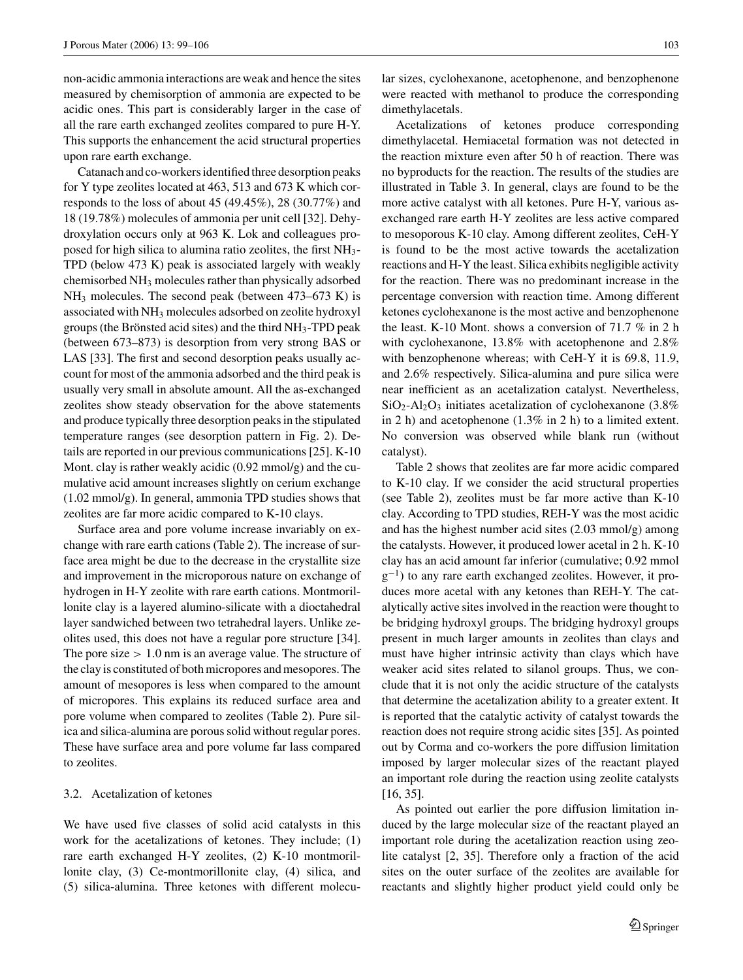non-acidic ammonia interactions are weak and hence the sites measured by chemisorption of ammonia are expected to be acidic ones. This part is considerably larger in the case of all the rare earth exchanged zeolites compared to pure H-Y. This supports the enhancement the acid structural properties upon rare earth exchange.

Catanach and co-workers identified three desorption peaks for Y type zeolites located at 463, 513 and 673 K which corresponds to the loss of about 45 (49.45%), 28 (30.77%) and 18 (19.78%) molecules of ammonia per unit cell [32]. Dehydroxylation occurs only at 963 K. Lok and colleagues proposed for high silica to alumina ratio zeolites, the first NH3- TPD (below 473 K) peak is associated largely with weakly chemisorbed NH3 molecules rather than physically adsorbed  $NH<sub>3</sub>$  molecules. The second peak (between 473–673 K) is associated with NH3 molecules adsorbed on zeolite hydroxyl groups (the Brönsted acid sites) and the third  $NH<sub>3</sub>-TPD$  peak (between 673–873) is desorption from very strong BAS or LAS [33]. The first and second desorption peaks usually account for most of the ammonia adsorbed and the third peak is usually very small in absolute amount. All the as-exchanged zeolites show steady observation for the above statements and produce typically three desorption peaks in the stipulated temperature ranges (see desorption pattern in Fig. 2). Details are reported in our previous communications [25]. K-10 Mont. clay is rather weakly acidic (0.92 mmol/g) and the cumulative acid amount increases slightly on cerium exchange (1.02 mmol/g). In general, ammonia TPD studies shows that zeolites are far more acidic compared to K-10 clays.

Surface area and pore volume increase invariably on exchange with rare earth cations (Table 2). The increase of surface area might be due to the decrease in the crystallite size and improvement in the microporous nature on exchange of hydrogen in H-Y zeolite with rare earth cations. Montmorillonite clay is a layered alumino-silicate with a dioctahedral layer sandwiched between two tetrahedral layers. Unlike zeolites used, this does not have a regular pore structure [34]. The pore size  $> 1.0$  nm is an average value. The structure of the clay is constituted of both micropores and mesopores. The amount of mesopores is less when compared to the amount of micropores. This explains its reduced surface area and pore volume when compared to zeolites (Table 2). Pure silica and silica-alumina are porous solid without regular pores. These have surface area and pore volume far lass compared to zeolites.

## 3.2. Acetalization of ketones

We have used five classes of solid acid catalysts in this work for the acetalizations of ketones. They include; (1) rare earth exchanged H-Y zeolites, (2) K-10 montmorillonite clay, (3) Ce-montmorillonite clay, (4) silica, and (5) silica-alumina. Three ketones with different molecular sizes, cyclohexanone, acetophenone, and benzophenone were reacted with methanol to produce the corresponding dimethylacetals.

Acetalizations of ketones produce corresponding dimethylacetal. Hemiacetal formation was not detected in the reaction mixture even after 50 h of reaction. There was no byproducts for the reaction. The results of the studies are illustrated in Table 3. In general, clays are found to be the more active catalyst with all ketones. Pure H-Y, various asexchanged rare earth H-Y zeolites are less active compared to mesoporous K-10 clay. Among different zeolites, CeH-Y is found to be the most active towards the acetalization reactions and H-Y the least. Silica exhibits negligible activity for the reaction. There was no predominant increase in the percentage conversion with reaction time. Among different ketones cyclohexanone is the most active and benzophenone the least. K-10 Mont. shows a conversion of 71.7 % in 2 h with cyclohexanone, 13.8% with acetophenone and 2.8% with benzophenone whereas; with CeH-Y it is 69.8, 11.9, and 2.6% respectively. Silica-alumina and pure silica were near inefficient as an acetalization catalyst. Nevertheless,  $SiO<sub>2</sub>-Al<sub>2</sub>O<sub>3</sub>$  initiates acetalization of cyclohexanone (3.8%) in 2 h) and acetophenone (1.3% in 2 h) to a limited extent. No conversion was observed while blank run (without catalyst).

Table 2 shows that zeolites are far more acidic compared to K-10 clay. If we consider the acid structural properties (see Table 2), zeolites must be far more active than K-10 clay. According to TPD studies, REH-Y was the most acidic and has the highest number acid sites (2.03 mmol/g) among the catalysts. However, it produced lower acetal in 2 h. K-10 clay has an acid amount far inferior (cumulative; 0.92 mmol  $g^{-1}$ ) to any rare earth exchanged zeolites. However, it produces more acetal with any ketones than REH-Y. The catalytically active sites involved in the reaction were thought to be bridging hydroxyl groups. The bridging hydroxyl groups present in much larger amounts in zeolites than clays and must have higher intrinsic activity than clays which have weaker acid sites related to silanol groups. Thus, we conclude that it is not only the acidic structure of the catalysts that determine the acetalization ability to a greater extent. It is reported that the catalytic activity of catalyst towards the reaction does not require strong acidic sites [35]. As pointed out by Corma and co-workers the pore diffusion limitation imposed by larger molecular sizes of the reactant played an important role during the reaction using zeolite catalysts [16, 35].

As pointed out earlier the pore diffusion limitation induced by the large molecular size of the reactant played an important role during the acetalization reaction using zeolite catalyst [2, 35]. Therefore only a fraction of the acid sites on the outer surface of the zeolites are available for reactants and slightly higher product yield could only be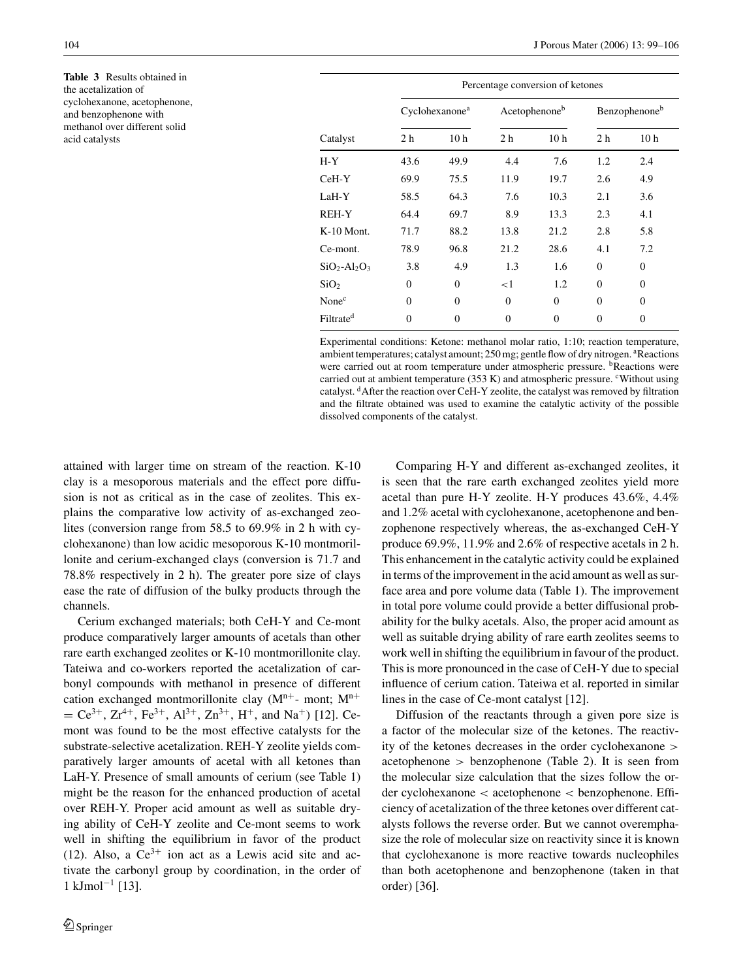**Table 3** Results obtained in the acetalization of cyclohexanone, acetophenone, and benzophenone with methanol over different solid acid catalysts

|                       | Percentage conversion of ketones |                 |                |                 |                |                 |  |
|-----------------------|----------------------------------|-----------------|----------------|-----------------|----------------|-----------------|--|
|                       | Cyclohexanone <sup>a</sup>       |                 |                | Acetophenoneb   |                | Benzophenoneb   |  |
| Catalyst              | 2 <sub>h</sub>                   | 10 <sub>h</sub> | 2 <sub>h</sub> | 10 <sub>h</sub> | 2 <sub>h</sub> | 10 <sub>h</sub> |  |
| $H - Y$               | 43.6                             | 49.9            | 4.4            | 7.6             | 1.2            | 2.4             |  |
| $CeH-Y$               | 69.9                             | 75.5            | 11.9           | 19.7            | 2.6            | 4.9             |  |
| LaH-Y                 | 58.5                             | 64.3            | 7.6            | 10.3            | 2.1            | 3.6             |  |
| REH-Y                 | 64.4                             | 69.7            | 8.9            | 13.3            | 2.3            | 4.1             |  |
| $K-10$ Mont.          | 71.7                             | 88.2            | 13.8           | 21.2            | 2.8            | 5.8             |  |
| Ce-mont.              | 78.9                             | 96.8            | 21.2           | 28.6            | 4.1            | 7.2             |  |
| $SiO2-Al2O3$          | 3.8                              | 4.9             | 1.3            | 1.6             | $\Omega$       | $\Omega$        |  |
| SiO <sub>2</sub>      | $\mathbf{0}$                     | $\Omega$        | ${<}1$         | 1.2             | $\Omega$       | $\Omega$        |  |
| None <sup>c</sup>     | $\Omega$                         | $\Omega$        | $\Omega$       | $\Omega$        | $\theta$       | $\Omega$        |  |
| Filtrate <sup>d</sup> | 0                                | $\theta$        | $\Omega$       | $\Omega$        | $\theta$       | $\Omega$        |  |

Experimental conditions: Ketone: methanol molar ratio, 1:10; reaction temperature, ambient temperatures; catalyst amount; 250 mg; gentle flow of dry nitrogen. <sup>a</sup>Reactions were carried out at room temperature under atmospheric pressure. <sup>b</sup>Reactions were carried out at ambient temperature  $(353 \text{ K})$  and atmospheric pressure. <sup>c</sup>Without using catalyst. dAfter the reaction over CeH-Y zeolite, the catalyst was removed by filtration and the filtrate obtained was used to examine the catalytic activity of the possible dissolved components of the catalyst.

attained with larger time on stream of the reaction. K-10 clay is a mesoporous materials and the effect pore diffusion is not as critical as in the case of zeolites. This explains the comparative low activity of as-exchanged zeolites (conversion range from 58.5 to 69.9% in 2 h with cyclohexanone) than low acidic mesoporous K-10 montmorillonite and cerium-exchanged clays (conversion is 71.7 and 78.8% respectively in 2 h). The greater pore size of clays ease the rate of diffusion of the bulky products through the channels.

Cerium exchanged materials; both CeH-Y and Ce-mont produce comparatively larger amounts of acetals than other rare earth exchanged zeolites or K-10 montmorillonite clay. Tateiwa and co-workers reported the acetalization of carbonyl compounds with methanol in presence of different cation exchanged montmorillonite clay  $(M<sup>n+</sup>$ - mont;  $M<sup>n+</sup>$  $= Ce^{3+}$ ,  $Zr^{4+}$ ,  $Fe^{3+}$ ,  $Al^{3+}$ ,  $Zn^{3+}$ ,  $H^+$ , and Na<sup>+</sup>) [12]. Cemont was found to be the most effective catalysts for the substrate-selective acetalization. REH-Y zeolite yields comparatively larger amounts of acetal with all ketones than LaH-Y. Presence of small amounts of cerium (see Table 1) might be the reason for the enhanced production of acetal over REH-Y. Proper acid amount as well as suitable drying ability of CeH-Y zeolite and Ce-mont seems to work well in shifting the equilibrium in favor of the product (12). Also, a  $Ce^{3+}$  ion act as a Lewis acid site and activate the carbonyl group by coordination, in the order of  $1 \text{ kJmol}^{-1}$  [13].

Comparing H-Y and different as-exchanged zeolites, it is seen that the rare earth exchanged zeolites yield more acetal than pure H-Y zeolite. H-Y produces 43.6%, 4.4% and 1.2% acetal with cyclohexanone, acetophenone and benzophenone respectively whereas, the as-exchanged CeH-Y produce 69.9%, 11.9% and 2.6% of respective acetals in 2 h. This enhancement in the catalytic activity could be explained in terms of the improvement in the acid amount as well as surface area and pore volume data (Table 1). The improvement in total pore volume could provide a better diffusional probability for the bulky acetals. Also, the proper acid amount as well as suitable drying ability of rare earth zeolites seems to work well in shifting the equilibrium in favour of the product. This is more pronounced in the case of CeH-Y due to special influence of cerium cation. Tateiwa et al. reported in similar lines in the case of Ce-mont catalyst [12].

Diffusion of the reactants through a given pore size is a factor of the molecular size of the ketones. The reactivity of the ketones decreases in the order cyclohexanone > acetophenone > benzophenone (Table 2). It is seen from the molecular size calculation that the sizes follow the order cyclohexanone < acetophenone < benzophenone. Efficiency of acetalization of the three ketones over different catalysts follows the reverse order. But we cannot overemphasize the role of molecular size on reactivity since it is known that cyclohexanone is more reactive towards nucleophiles than both acetophenone and benzophenone (taken in that order) [36].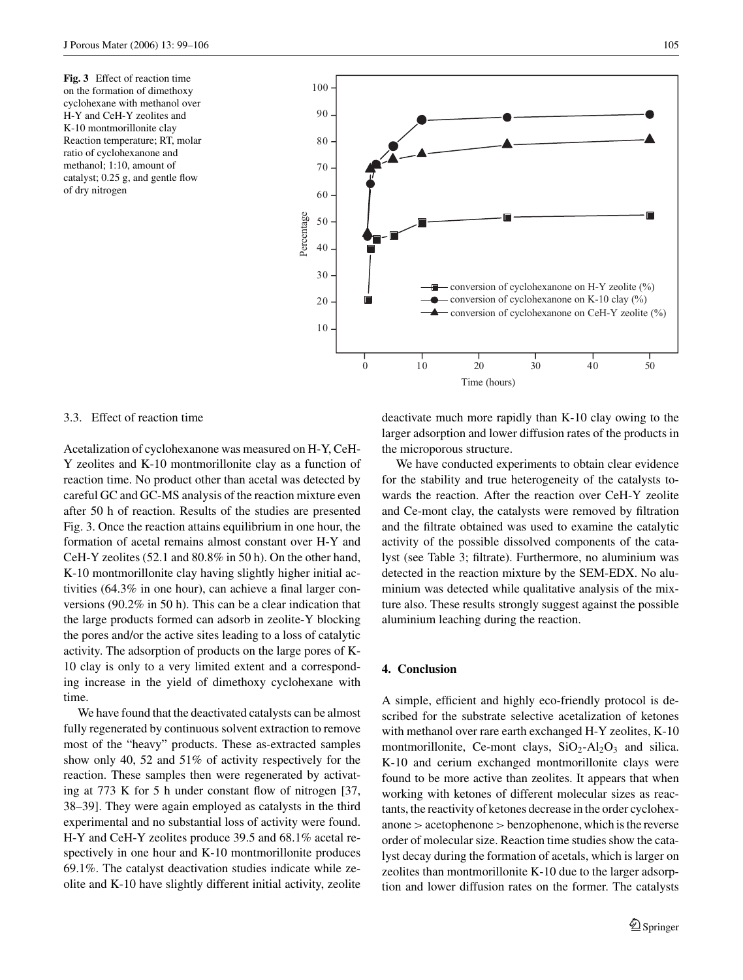**Fig. 3** Effect of reaction time on the formation of dimethoxy cyclohexane with methanol over H-Y and CeH-Y zeolites and K-10 montmorillonite clay Reaction temperature; RT, molar ratio of cyclohexanone and methanol; 1:10, amount of catalyst; 0.25 g, and gentle flow of dry nitrogen



#### 3.3. Effect of reaction time

Acetalization of cyclohexanone was measured on H-Y, CeH-Y zeolites and K-10 montmorillonite clay as a function of reaction time. No product other than acetal was detected by careful GC and GC-MS analysis of the reaction mixture even after 50 h of reaction. Results of the studies are presented Fig. 3. Once the reaction attains equilibrium in one hour, the formation of acetal remains almost constant over H-Y and CeH-Y zeolites (52.1 and 80.8% in 50 h). On the other hand, K-10 montmorillonite clay having slightly higher initial activities (64.3% in one hour), can achieve a final larger conversions (90.2% in 50 h). This can be a clear indication that the large products formed can adsorb in zeolite-Y blocking the pores and/or the active sites leading to a loss of catalytic activity. The adsorption of products on the large pores of K-10 clay is only to a very limited extent and a corresponding increase in the yield of dimethoxy cyclohexane with time.

We have found that the deactivated catalysts can be almost fully regenerated by continuous solvent extraction to remove most of the "heavy" products. These as-extracted samples show only 40, 52 and 51% of activity respectively for the reaction. These samples then were regenerated by activating at 773 K for 5 h under constant flow of nitrogen [37, 38–39]. They were again employed as catalysts in the third experimental and no substantial loss of activity were found. H-Y and CeH-Y zeolites produce 39.5 and 68.1% acetal respectively in one hour and K-10 montmorillonite produces 69.1%. The catalyst deactivation studies indicate while zeolite and K-10 have slightly different initial activity, zeolite

deactivate much more rapidly than K-10 clay owing to the larger adsorption and lower diffusion rates of the products in the microporous structure.

We have conducted experiments to obtain clear evidence for the stability and true heterogeneity of the catalysts towards the reaction. After the reaction over CeH-Y zeolite and Ce-mont clay, the catalysts were removed by filtration and the filtrate obtained was used to examine the catalytic activity of the possible dissolved components of the catalyst (see Table 3; filtrate). Furthermore, no aluminium was detected in the reaction mixture by the SEM-EDX. No aluminium was detected while qualitative analysis of the mixture also. These results strongly suggest against the possible aluminium leaching during the reaction.

#### **4. Conclusion**

A simple, efficient and highly eco-friendly protocol is described for the substrate selective acetalization of ketones with methanol over rare earth exchanged H-Y zeolites, K-10 montmorillonite, Ce-mont clays,  $SiO<sub>2</sub>-Al<sub>2</sub>O<sub>3</sub>$  and silica. K-10 and cerium exchanged montmorillonite clays were found to be more active than zeolites. It appears that when working with ketones of different molecular sizes as reactants, the reactivity of ketones decrease in the order cyclohex $anone > acetophenone > benzophenone$ , which is the reverse order of molecular size. Reaction time studies show the catalyst decay during the formation of acetals, which is larger on zeolites than montmorillonite K-10 due to the larger adsorption and lower diffusion rates on the former. The catalysts